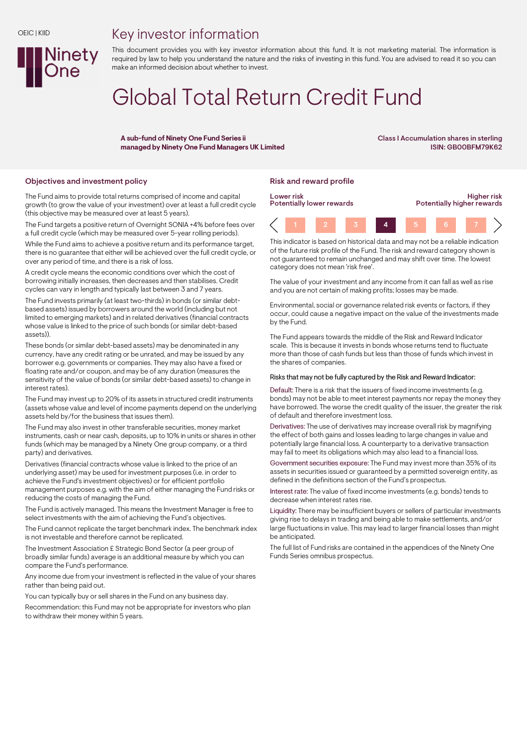# Key investor information

This document provides you with key investor information about this fund. It is not marketing material. The information is required by law to help you understand the nature and the risks of investing in this fund. You are advised to read it so you can make an informed decision about whether to invest.

# Global Total Return Credit Fund

A sub-fund of Ninety One Fund Series ii managed by Ninety One Fund Managers UK Limited Class I Accumulation shares in sterling ISIN: GB00BFM79K62

### Objectives and investment policy **Risk and reward profile** Risk and reward profile

**Ninety** 

The Fund aims to provide total returns comprised of income and capital growth (to grow the value of your investment) over at least a full credit cycle (this objective may be measured over at least 5 years).

The Fund targets a positive return of Overnight SONIA +4% before fees over a full credit cycle (which may be measured over 5-year rolling periods).

While the Fund aims to achieve a positive return and its performance target, there is no guarantee that either will be achieved over the full credit cycle, or over any period of time, and there is a risk of loss.

A credit cycle means the economic conditions over which the cost of borrowing initially increases, then decreases and then stabilises. Credit cycles can vary in length and typically last between 3 and 7 years.

The Fund invests primarily (at least two-thirds) in bonds (or similar debtbased assets) issued by borrowers around the world (including but not limited to emerging markets) and in related derivatives (financial contracts whose value is linked to the price of such bonds (or similar debt-based assets)).

These bonds (or similar debt-based assets) may be denominated in any currency, have any credit rating or be unrated, and may be issued by any borrower e.g. governments or companies. They may also have a fixed or floating rate and/or coupon, and may be of any duration (measures the sensitivity of the value of bonds (or similar debt-based assets) to change in interest rates).

The Fund may invest up to 20% of its assets in structured credit instruments (assets whose value and level of income payments depend on the underlying assets held by/for the business that issues them).

The Fund may also invest in other transferable securities, money market instruments, cash or near cash, deposits, up to 10% in units or shares in other funds (which may be managed by a Ninety One group company, or a third party) and derivatives.

Derivatives (financial contracts whose value is linked to the price of an underlying asset) may be used for investment purposes (i.e. in order to achieve the Fund's investment objectives) or for efficient portfolio management purposes e.g. with the aim of either managing the Fund risks or reducing the costs of managing the Fund.

The Fund is actively managed. This means the Investment Manager is free to select investments with the aim of achieving the Fund's objectives.

The Fund cannot replicate the target benchmark index. The benchmark index is not investable and therefore cannot be replicated.

The Investment Association £ Strategic Bond Sector (a peer group of broadly similar funds) average is an additional measure by which you can compare the Fund's performance.

Any income due from your investment is reflected in the value of your shares rather than being paid out.

You can typically buy or sell shares in the Fund on any business day.

Recommendation: this Fund may not be appropriate for investors who plan to withdraw their money within 5 years.



This indicator is based on historical data and may not be a reliable indication of the future risk profile of the Fund. The risk and reward category shown is not guaranteed to remain unchanged and may shift over time. The lowest category does not mean 'risk free'.

The value of your investment and any income from it can fall as well as rise and you are not certain of making profits; losses may be made.

Environmental, social or governance related risk events or factors, if they occur, could cause a negative impact on the value of the investments made by the Fund.

The Fund appears towards the middle of the Risk and Reward Indicator scale. This is because it invests in bonds whose returns tend to fluctuate more than those of cash funds but less than those of funds which invest in the shares of companies.

### Risks that may not be fully captured by the Risk and Reward Indicator:

Default: There is a risk that the issuers of fixed income investments (e.g. bonds) may not be able to meet interest payments nor repay the money they have borrowed. The worse the credit quality of the issuer, the greater the risk of default and therefore investment loss.

Derivatives: The use of derivatives may increase overall risk by magnifying the effect of both gains and losses leading to large changes in value and potentially large financial loss. A counterparty to a derivative transaction may fail to meet its obligations which may also lead to a financial loss.

Government securities exposure: The Fund may invest more than 35% of its assets in securities issued or guaranteed by a permitted sovereign entity, as defined in the definitions section of the Fund's prospectus.

Interest rate: The value of fixed income investments (e.g. bonds) tends to decrease when interest rates rise.

Liquidity: There may be insufficient buyers or sellers of particular investments giving rise to delays in trading and being able to make settlements, and/or large fluctuations in value. This may lead to larger financial losses than might be anticipated.

The full list of Fund risks are contained in the appendices of the Ninety One Funds Series omnibus prospectus.